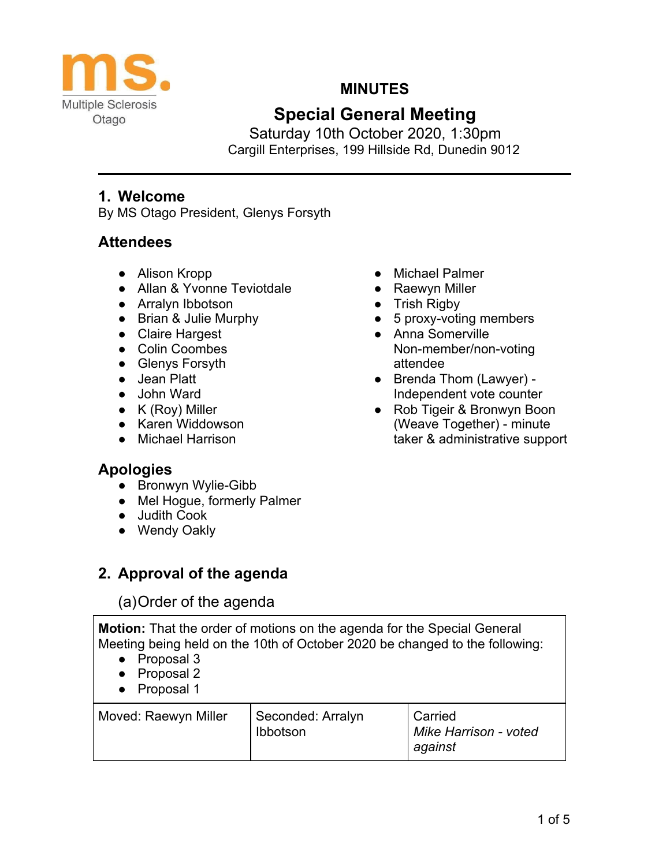

## **MINUTES**

# **Special General Meeting**

Saturday 10th October 2020, 1:30pm Cargill Enterprises, 199 Hillside Rd, Dunedin 9012

### **1. Welcome**

By MS Otago President, Glenys Forsyth

## **Attendees**

- Alison Kropp
- Allan & Yvonne Teviotdale
- Arralyn Ibbotson
- Brian & Julie Murphy
- Claire Hargest
- Colin Coombes
- Glenys Forsyth
- Jean Platt
- John Ward
- K (Roy) Miller
- Karen Widdowson
- Michael Harrison

### **Apologies**

- Bronwyn Wylie-Gibb
- Mel Hogue, formerly Palmer
- Judith Cook
- Wendy Oakly

## **2. Approval of the agenda**

## (a)Order of the agenda

**Motion:** That the order of motions on the agenda for the Special General Meeting being held on the 10th of October 2020 be changed to the following:

- Proposal 3
- Proposal 2
- Proposal 1

| Moved: Raewyn Miller | Seconded: Arralyn<br>Ibbotson | Carried<br>Mike Harrison - voted<br>against |
|----------------------|-------------------------------|---------------------------------------------|
|----------------------|-------------------------------|---------------------------------------------|

- Michael Palmer
- Raewyn Miller
- Trish Rigby
- 5 proxy-voting members
- Anna Somerville Non-member/non-voting attendee
- Brenda Thom (Lawyer) -Independent vote counter
- Rob Tigeir & Bronwyn Boon (Weave Together) - minute taker & administrative support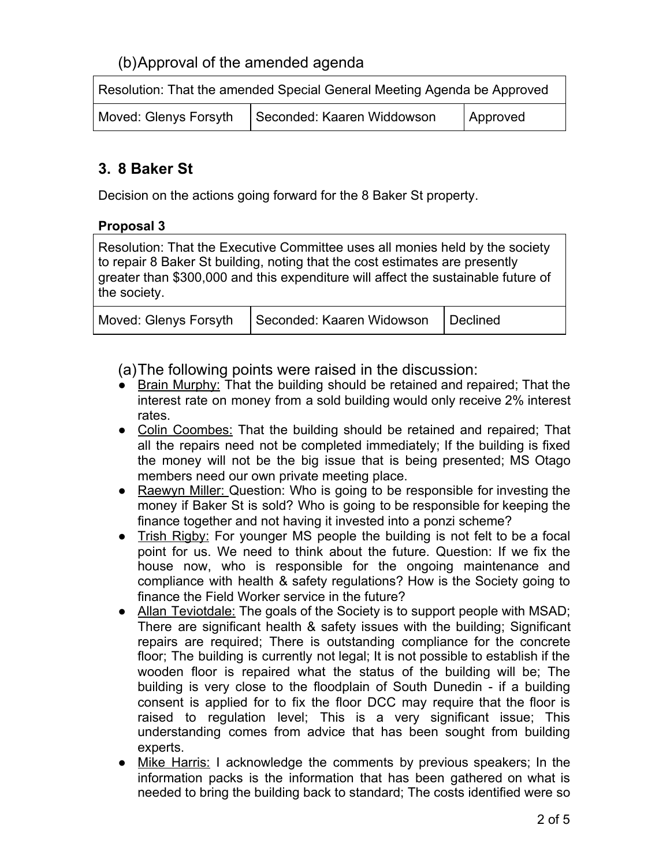## (b)Approval of the amended agenda

| Resolution: That the amended Special General Meeting Agenda be Approved |  |
|-------------------------------------------------------------------------|--|
|                                                                         |  |

| Moved: Glenys Forsyth | Seconded: Kaaren Widdowson | Approved |
|-----------------------|----------------------------|----------|
|-----------------------|----------------------------|----------|

## **3. 8 Baker St**

Decision on the actions going forward for the 8 Baker St property.

#### **Proposal 3**

Resolution: That the Executive Committee uses all monies held by the society to repair 8 Baker St building, noting that the cost estimates are presently greater than \$300,000 and this expenditure will affect the sustainable future of the society.

|  | Moved: Glenys Forsyth   Seconded: Kaaren Widowson   Declined |  |
|--|--------------------------------------------------------------|--|
|--|--------------------------------------------------------------|--|

(a)The following points were raised in the discussion:

- Brain Murphy: That the building should be retained and repaired; That the interest rate on money from a sold building would only receive 2% interest rates.
- Colin Coombes: That the building should be retained and repaired; That all the repairs need not be completed immediately; If the building is fixed the money will not be the big issue that is being presented; MS Otago members need our own private meeting place.
- Raewyn Miller: Question: Who is going to be responsible for investing the money if Baker St is sold? Who is going to be responsible for keeping the finance together and not having it invested into a ponzi scheme?
- Trish Rigby: For younger MS people the building is not felt to be a focal point for us. We need to think about the future. Question: If we fix the house now, who is responsible for the ongoing maintenance and compliance with health & safety regulations? How is the Society going to finance the Field Worker service in the future?
- Allan Teviotdale: The goals of the Society is to support people with MSAD; There are significant health & safety issues with the building; Significant repairs are required; There is outstanding compliance for the concrete floor; The building is currently not legal; It is not possible to establish if the wooden floor is repaired what the status of the building will be; The building is very close to the floodplain of South Dunedin - if a building consent is applied for to fix the floor DCC may require that the floor is raised to regulation level; This is a very significant issue; This understanding comes from advice that has been sought from building experts.
- Mike Harris: I acknowledge the comments by previous speakers; In the information packs is the information that has been gathered on what is needed to bring the building back to standard; The costs identified were so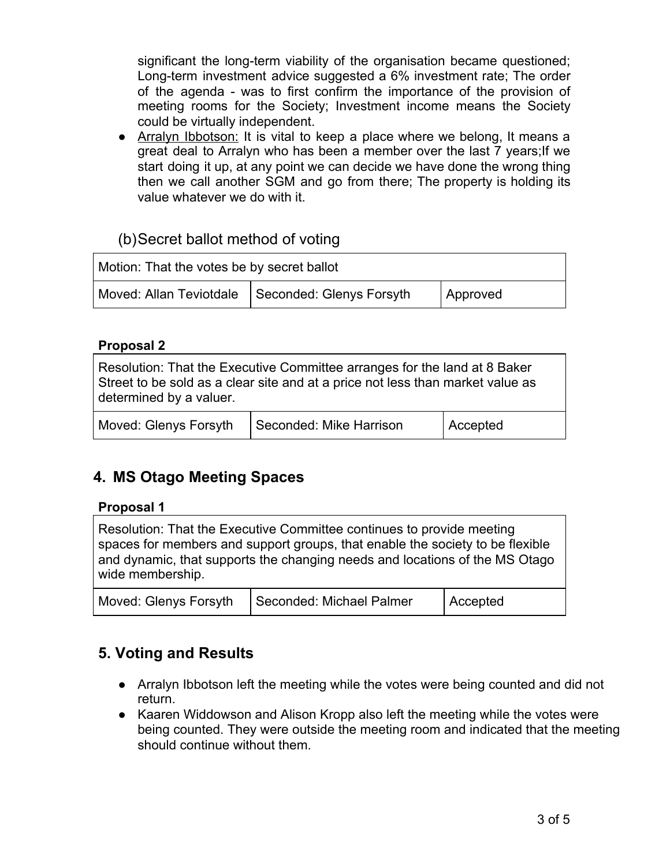significant the long-term viability of the organisation became questioned; Long-term investment advice suggested a 6% investment rate; The order of the agenda - was to first confirm the importance of the provision of meeting rooms for the Society; Investment income means the Society could be virtually independent.

• Arralyn Ibbotson: It is vital to keep a place where we belong, It means a great deal to Arralyn who has been a member over the last 7 years;If we start doing it up, at any point we can decide we have done the wrong thing then we call another SGM and go from there; The property is holding its value whatever we do with it.

### (b)Secret ballot method of voting

| Motion: That the votes be by secret ballot |                                                    |          |
|--------------------------------------------|----------------------------------------------------|----------|
|                                            | Moved: Allan Teviotdale   Seconded: Glenys Forsyth | Approved |

#### **Proposal 2**

Resolution: That the Executive Committee arranges for the land at 8 Baker Street to be sold as a clear site and at a price not less than market value as determined by a valuer.

| Moved: Glenys Forsyth | Seconded: Mike Harrison | Accepted |
|-----------------------|-------------------------|----------|
|-----------------------|-------------------------|----------|

## **4. MS Otago Meeting Spaces**

#### **Proposal 1**

Resolution: That the Executive Committee continues to provide meeting spaces for members and support groups, that enable the society to be flexible and dynamic, that supports the changing needs and locations of the MS Otago wide membership.

| Moved: Glenys Forsyth | Seconded: Michael Palmer | Accepted |
|-----------------------|--------------------------|----------|
|-----------------------|--------------------------|----------|

### **5. Voting and Results**

- Arralyn Ibbotson left the meeting while the votes were being counted and did not return.
- Kaaren Widdowson and Alison Kropp also left the meeting while the votes were being counted. They were outside the meeting room and indicated that the meeting should continue without them.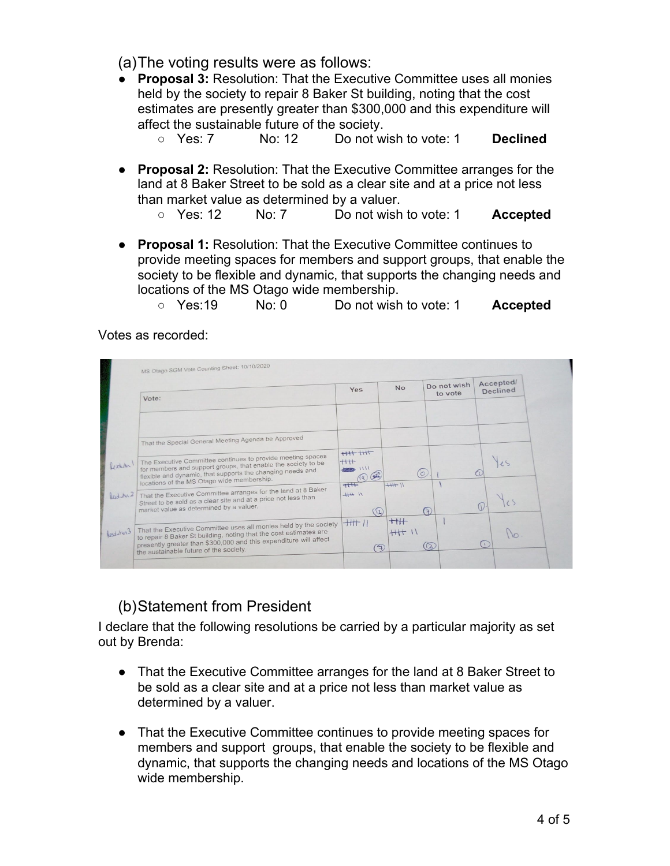(a)The voting results were as follows:

- **Proposal 3:** Resolution: That the Executive Committee uses all monies held by the society to repair 8 Baker St building, noting that the cost estimates are presently greater than \$300,000 and this expenditure will affect the sustainable future of the society.
	- Yes: 7 No: 12 Do not wish to vote: 1 **Declined**
- **Proposal 2:** Resolution: That the Executive Committee arranges for the land at 8 Baker Street to be sold as a clear site and at a price not less than market value as determined by a valuer.
	- Yes: 12 No: 7 Do not wish to vote: 1 **Accepted**
- **Proposal 1:** Resolution: That the Executive Committee continues to provide meeting spaces for members and support groups, that enable the society to be flexible and dynamic, that supports the changing needs and locations of the MS Otago wide membership.
	- Yes:19 No: 0 Do not wish to vote: 1 **Accepted**

Votes as recorded:



## (b)Statement from President

I declare that the following resolutions be carried by a particular majority as set out by Brenda:

- That the Executive Committee arranges for the land at 8 Baker Street to be sold as a clear site and at a price not less than market value as determined by a valuer.
- That the Executive Committee continues to provide meeting spaces for members and support groups, that enable the society to be flexible and dynamic, that supports the changing needs and locations of the MS Otago wide membership.